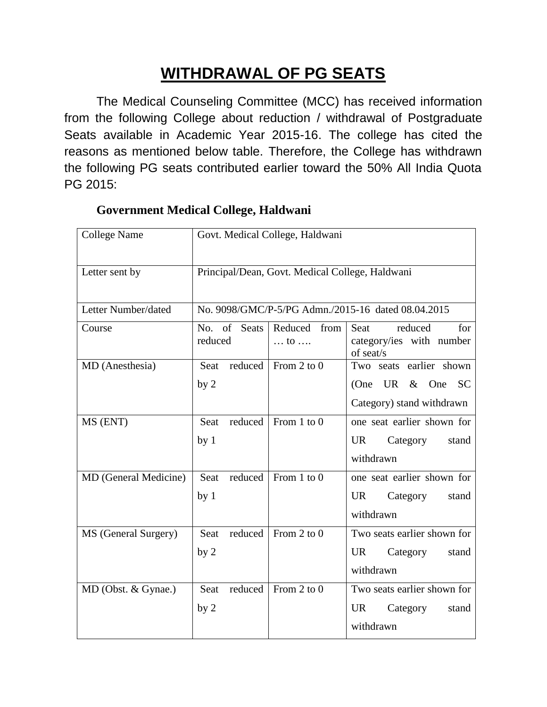## **WITHDRAWAL OF PG SEATS**

The Medical Counseling Committee (MCC) has received information from the following College about reduction / withdrawal of Postgraduate Seats available in Academic Year 2015-16. The college has cited the reasons as mentioned below table. Therefore, the College has withdrawn the following PG seats contributed earlier toward the 50% All India Quota PG 2015:

| <b>College Name</b>   | Govt. Medical College, Haldwani                    |                                    |                                                                                      |  |  |
|-----------------------|----------------------------------------------------|------------------------------------|--------------------------------------------------------------------------------------|--|--|
| Letter sent by        | Principal/Dean, Govt. Medical College, Haldwani    |                                    |                                                                                      |  |  |
| Letter Number/dated   | No. 9098/GMC/P-5/PG Admn./2015-16 dated 08.04.2015 |                                    |                                                                                      |  |  |
| Course                | No. of Seats<br>reduced                            | Reduced from<br>$\dots$ to $\dots$ | reduced<br>Seat<br>for<br>category/ies with number<br>of seat/s                      |  |  |
| MD (Anesthesia)       | Seat reduced<br>by <sub>2</sub>                    | From 2 to $0$                      | Two seats earlier shown<br><b>SC</b><br>(One UR $&$ One<br>Category) stand withdrawn |  |  |
| MS (ENT)              | reduced<br>Seat<br>by <sub>1</sub>                 | From $1$ to $0$                    | one seat earlier shown for<br><b>UR</b><br>Category<br>stand<br>withdrawn            |  |  |
| MD (General Medicine) | reduced<br>Seat<br>by <sub>1</sub>                 | From $1$ to $0$                    | one seat earlier shown for<br><b>UR</b><br>Category<br>stand<br>withdrawn            |  |  |
| MS (General Surgery)  | Seat<br>reduced<br>by <sub>2</sub>                 | From 2 to $0$                      | Two seats earlier shown for<br><b>UR</b><br>Category<br>stand<br>withdrawn           |  |  |
| MD (Obst. & Gynae.)   | reduced<br>Seat<br>by <sub>2</sub>                 | From 2 to $0$                      | Two seats earlier shown for<br>UR.<br>Category<br>stand<br>withdrawn                 |  |  |

## **Government Medical College, Haldwani**